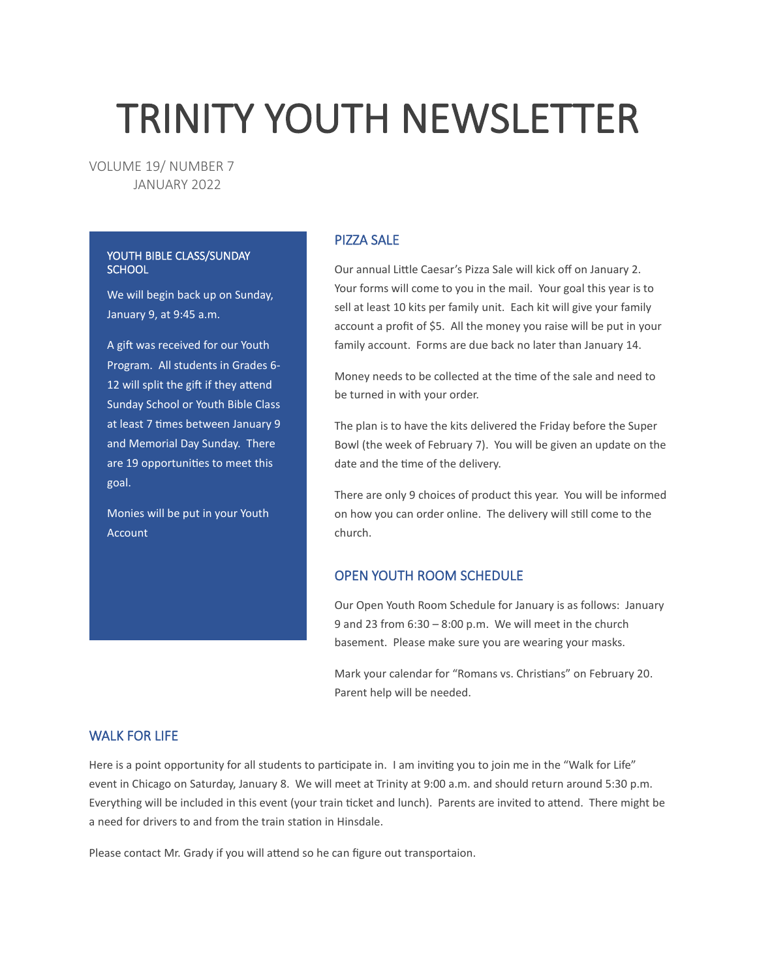# TRINITY YOUTH NEWSLETTER

VOLUME 19/ NUMBER 7 JANUARY 2022

#### YOUTH BIBLE CLASS/SUNDAY **SCHOOL**

We will begin back up on Sunday, January 9, at 9:45 a.m.

A gift was received for our Youth Program. All students in Grades 6- 12 will split the gift if they attend Sunday School or Youth Bible Class at least 7 times between January 9 and Memorial Day Sunday. There are 19 opportunities to meet this goal.

Monies will be put in your Youth Account

## PIZZA SALE

Our annual Little Caesar's Pizza Sale will kick off on January 2. Your forms will come to you in the mail. Your goal this year is to sell at least 10 kits per family unit. Each kit will give your family account a profit of \$5. All the money you raise will be put in your family account. Forms are due back no later than January 14.

Money needs to be collected at the time of the sale and need to be turned in with your order.

The plan is to have the kits delivered the Friday before the Super Bowl (the week of February 7). You will be given an update on the date and the time of the delivery.

There are only 9 choices of product this year. You will be informed on how you can order online. The delivery will still come to the church.

## OPEN YOUTH ROOM SCHEDULE

Our Open Youth Room Schedule for January is as follows: January 9 and 23 from 6:30 – 8:00 p.m. We will meet in the church basement. Please make sure you are wearing your masks.

Mark your calendar for "Romans vs. Christians" on February 20. Parent help will be needed.

## WALK FOR LIFE

Here is a point opportunity for all students to participate in. I am inviting you to join me in the "Walk for Life" event in Chicago on Saturday, January 8. We will meet at Trinity at 9:00 a.m. and should return around 5:30 p.m. Everything will be included in this event (your train ticket and lunch). Parents are invited to attend. There might be a need for drivers to and from the train station in Hinsdale.

Please contact Mr. Grady if you will attend so he can figure out transportaion.